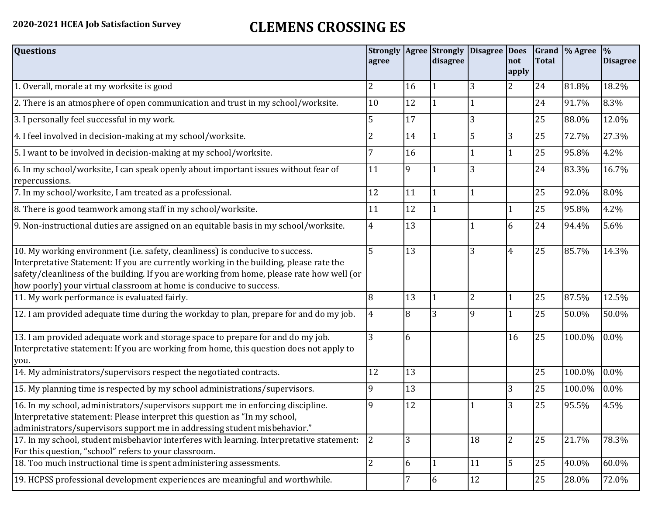## **2020-2021 HCEA Job Satisfaction Survey CLEMENS CROSSING ES**

| <b>Questions</b>                                                                                                                                                                                                                                                                                                                               | agree          |    | <b>Strongly   Agree   Strongly</b><br>disagree | Disagree   Does | not<br>apply   | <b>Total</b> | Grand  % Agree | $\frac{0}{0}$<br><b>Disagree</b> |
|------------------------------------------------------------------------------------------------------------------------------------------------------------------------------------------------------------------------------------------------------------------------------------------------------------------------------------------------|----------------|----|------------------------------------------------|-----------------|----------------|--------------|----------------|----------------------------------|
| 1. Overall, morale at my worksite is good                                                                                                                                                                                                                                                                                                      | 2              | 16 |                                                | 3               | $\overline{2}$ | 24           | 81.8%          | 18.2%                            |
| 2. There is an atmosphere of open communication and trust in my school/worksite.                                                                                                                                                                                                                                                               | 10             | 12 |                                                |                 |                | 24           | 91.7%          | 8.3%                             |
| 3. I personally feel successful in my work.                                                                                                                                                                                                                                                                                                    | 5              | 17 |                                                | 3               |                | 25           | 88.0%          | 12.0%                            |
| 4. I feel involved in decision-making at my school/worksite.                                                                                                                                                                                                                                                                                   | 2              | 14 | $\vert$ 1                                      | 5               | 3              | 25           | 72.7%          | 27.3%                            |
| 5. I want to be involved in decision-making at my school/worksite.                                                                                                                                                                                                                                                                             |                | 16 |                                                |                 | 1              | 25           | 95.8%          | 4.2%                             |
| 6. In my school/worksite, I can speak openly about important issues without fear of<br>repercussions.                                                                                                                                                                                                                                          | 11             | 9  |                                                | 3               |                | 24           | 83.3%          | 16.7%                            |
| 7. In my school/worksite, I am treated as a professional.                                                                                                                                                                                                                                                                                      | 12             | 11 | $\overline{1}$                                 |                 |                | 25           | 92.0%          | 8.0%                             |
| 8. There is good teamwork among staff in my school/worksite.                                                                                                                                                                                                                                                                                   | 11             | 12 |                                                |                 |                | 25           | 95.8%          | 4.2%                             |
| 9. Non-instructional duties are assigned on an equitable basis in my school/worksite.                                                                                                                                                                                                                                                          | 4              | 13 |                                                |                 | 6              | 24           | 94.4%          | 5.6%                             |
| 10. My working environment (i.e. safety, cleanliness) is conducive to success.<br>Interpretative Statement: If you are currently working in the building, please rate the<br>safety/cleanliness of the building. If you are working from home, please rate how well (or<br>how poorly) your virtual classroom at home is conducive to success. | 5              | 13 |                                                | 3               | $\overline{4}$ | 25           | 85.7%          | 14.3%                            |
| 11. My work performance is evaluated fairly.                                                                                                                                                                                                                                                                                                   | 8              | 13 |                                                | $\overline{2}$  | 1              | 25           | 87.5%          | 12.5%                            |
| 12. I am provided adequate time during the workday to plan, prepare for and do my job.                                                                                                                                                                                                                                                         | $\overline{4}$ | 8  | 3                                              | 9               | 1              | 25           | 50.0%          | 50.0%                            |
| 13. I am provided adequate work and storage space to prepare for and do my job.<br>Interpretative statement: If you are working from home, this question does not apply to<br>you.                                                                                                                                                             | 3              | 6  |                                                |                 | 16             | 25           | 100.0%         | 0.0%                             |
| 14. My administrators/supervisors respect the negotiated contracts.                                                                                                                                                                                                                                                                            | 12             | 13 |                                                |                 |                | 25           | 100.0%         | 0.0%                             |
| 15. My planning time is respected by my school administrations/supervisors.                                                                                                                                                                                                                                                                    | 9              | 13 |                                                |                 | 3              | 25           | 100.0%         | 0.0%                             |
| 16. In my school, administrators/supervisors support me in enforcing discipline.<br>Interpretative statement: Please interpret this question as "In my school,<br>administrators/supervisors support me in addressing student misbehavior."                                                                                                    | 9              | 12 |                                                |                 | 3              | 25           | 95.5%          | 4.5%                             |
| 17. In my school, student misbehavior interferes with learning. Interpretative statement:<br>For this question, "school" refers to your classroom.                                                                                                                                                                                             | 2              | 3  |                                                | 18              | $\overline{2}$ | 25           | 21.7%          | 78.3%                            |
| 18. Too much instructional time is spent administering assessments.                                                                                                                                                                                                                                                                            | $\overline{2}$ | 6  | 11                                             | 11              | 5              | 25           | 40.0%          | 60.0%                            |
| 19. HCPSS professional development experiences are meaningful and worthwhile.                                                                                                                                                                                                                                                                  |                | 7  | 6                                              | 12              |                | 25           | 28.0%          | 72.0%                            |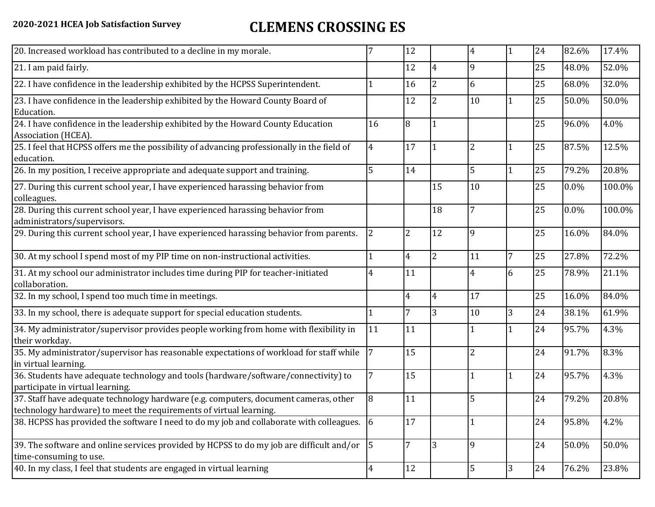## **2020-2021 HCEA Job Satisfaction Survey CLEMENS CROSSING ES**

| 20. Increased workload has contributed to a decline in my morale.                                                                                          |                | 12             |                | 4              | 1 | 24 | 82.6%   | 17.4%  |
|------------------------------------------------------------------------------------------------------------------------------------------------------------|----------------|----------------|----------------|----------------|---|----|---------|--------|
| 21. I am paid fairly.                                                                                                                                      |                | 12             | 14             | 9              |   | 25 | 48.0%   | 52.0%  |
| 22. I have confidence in the leadership exhibited by the HCPSS Superintendent.                                                                             |                | 16             | $\overline{2}$ | 6              |   | 25 | 68.0%   | 32.0%  |
| 23. I have confidence in the leadership exhibited by the Howard County Board of<br>Education.                                                              |                | 12             | $\overline{2}$ | 10             |   | 25 | 50.0%   | 50.0%  |
| 24. I have confidence in the leadership exhibited by the Howard County Education<br>Association (HCEA).                                                    | 16             | 8              |                |                |   | 25 | 96.0%   | 4.0%   |
| 25. I feel that HCPSS offers me the possibility of advancing professionally in the field of<br>education.                                                  | $\overline{4}$ | 17             | l 1            | $\overline{2}$ | 1 | 25 | 87.5%   | 12.5%  |
| 26. In my position, I receive appropriate and adequate support and training.                                                                               | 5              | 14             |                | 5              | 1 | 25 | 79.2%   | 20.8%  |
| 27. During this current school year, I have experienced harassing behavior from<br>colleagues.                                                             |                |                | 15             | 10             |   | 25 | $0.0\%$ | 100.0% |
| 28. During this current school year, I have experienced harassing behavior from<br>administrators/supervisors.                                             |                |                | 18             |                |   | 25 | 0.0%    | 100.0% |
| 29. During this current school year, I have experienced harassing behavior from parents.                                                                   | $\overline{2}$ | $\overline{2}$ | 12             | 9              |   | 25 | 16.0%   | 84.0%  |
| 30. At my school I spend most of my PIP time on non-instructional activities.                                                                              |                | $\overline{4}$ | $\overline{2}$ | 11             | 7 | 25 | 27.8%   | 72.2%  |
| 31. At my school our administrator includes time during PIP for teacher-initiated<br>collaboration.                                                        | 4              | 11             |                | 4              | 6 | 25 | 78.9%   | 21.1%  |
| 32. In my school, I spend too much time in meetings.                                                                                                       |                | $\overline{4}$ | 4              | 17             |   | 25 | 16.0%   | 84.0%  |
| 33. In my school, there is adequate support for special education students.                                                                                |                | 7              | 3              | 10             | 3 | 24 | 38.1%   | 61.9%  |
| 34. My administrator/supervisor provides people working from home with flexibility in<br>their workday.                                                    | 11             | 11             |                |                |   | 24 | 95.7%   | 4.3%   |
| 35. My administrator/supervisor has reasonable expectations of workload for staff while<br>in virtual learning.                                            | $\overline{7}$ | 15             |                | $\overline{2}$ |   | 24 | 91.7%   | 8.3%   |
| 36. Students have adequate technology and tools (hardware/software/connectivity) to<br>participate in virtual learning.                                    |                | 15             |                |                | 1 | 24 | 95.7%   | 4.3%   |
| 37. Staff have adequate technology hardware (e.g. computers, document cameras, other<br>technology hardware) to meet the requirements of virtual learning. | 8              | 11             |                | 5              |   | 24 | 79.2%   | 20.8%  |
| 38. HCPSS has provided the software I need to do my job and collaborate with colleagues. 6                                                                 |                | 17             |                |                |   | 24 | 95.8%   | 4.2%   |
| 39. The software and online services provided by HCPSS to do my job are difficult and/or<br>time-consuming to use.                                         | $\vert$ 5      | 7              | 13             | 9              |   | 24 | 50.0%   | 50.0%  |
| 40. In my class, I feel that students are engaged in virtual learning                                                                                      | $\overline{4}$ | 12             |                | 5              | 3 | 24 | 76.2%   | 23.8%  |